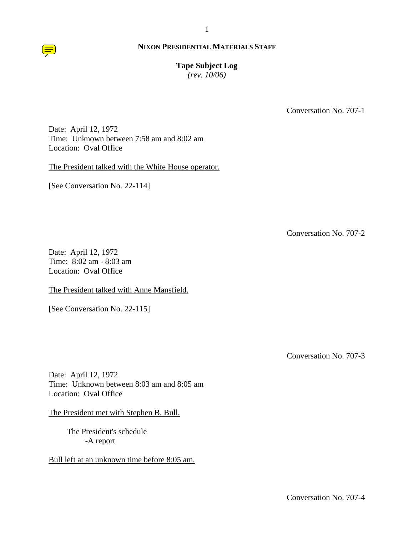**Tape Subject Log**

*(rev. 10/06)*

Conversation No. 707-1

Date: April 12, 1972 Time: Unknown between 7:58 am and 8:02 am Location: Oval Office

The President talked with the White House operator.

[See Conversation No. 22-114]

Conversation No. 707-2

Date: April 12, 1972 Time: 8:02 am - 8:03 am Location: Oval Office

The President talked with Anne Mansfield.

[See Conversation No. 22-115]

Conversation No. 707-3

Date: April 12, 1972 Time: Unknown between 8:03 am and 8:05 am Location: Oval Office

The President met with Stephen B. Bull.

The President's schedule -A report

Bull left at an unknown time before 8:05 am.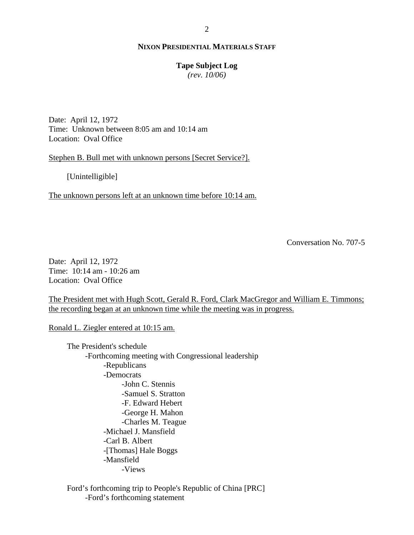### **Tape Subject Log**

*(rev. 10/06)*

Date: April 12, 1972 Time: Unknown between 8:05 am and 10:14 am Location: Oval Office

Stephen B. Bull met with unknown persons [Secret Service?].

[Unintelligible]

The unknown persons left at an unknown time before 10:14 am.

Conversation No. 707-5

Date: April 12, 1972 Time: 10:14 am - 10:26 am Location: Oval Office

The President met with Hugh Scott, Gerald R. Ford, Clark MacGregor and William E. Timmons; the recording began at an unknown time while the meeting was in progress.

Ronald L. Ziegler entered at 10:15 am.

The President's schedule -Forthcoming meeting with Congressional leadership -Republicans -Democrats -John C. Stennis -Samuel S. Stratton -F. Edward Hebert -George H. Mahon -Charles M. Teague -Michael J. Mansfield -Carl B. Albert -[Thomas] Hale Boggs -Mansfield -Views

Ford's forthcoming trip to People's Republic of China [PRC] -Ford's forthcoming statement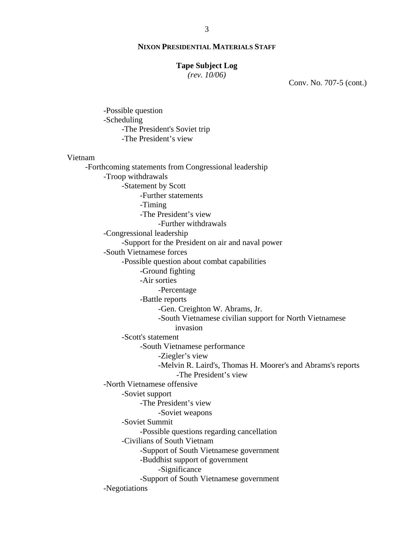## **Tape Subject Log**

*(rev. 10/06)*

-Possible question

Conv. No. 707-5 (cont.)

-Scheduling -The President's Soviet trip -The President's view Vietnam -Forthcoming statements from Congressional leadership -Troop withdrawals -Statement by Scott -Further statements -Timing -The President's view -Further withdrawals -Congressional leadership -Support for the President on air and naval power -South Vietnamese forces -Possible question about combat capabilities -Ground fighting -Air sorties -Percentage -Battle reports -Gen. Creighton W. Abrams, Jr. -South Vietnamese civilian support for North Vietnamese invasion -Scott's statement -South Vietnamese performance -Ziegler's view -Melvin R. Laird's, Thomas H. Moorer's and Abrams's reports -The President's view -North Vietnamese offensive -Soviet support -The President's view -Soviet weapons -Soviet Summit -Possible questions regarding cancellation -Civilians of South Vietnam -Support of South Vietnamese government -Buddhist support of government -Significance -Support of South Vietnamese government -Negotiations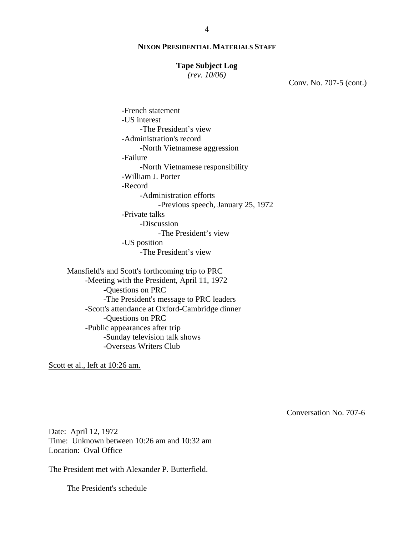### **Tape Subject Log**

*(rev. 10/06)*

Conv. No. 707-5 (cont.)

 -French statement -US interest -The President's view -Administration's record -North Vietnamese aggression -Failure -North Vietnamese responsibility -William J. Porter -Record -Administration efforts -Previous speech, January 25, 1972 -Private talks -Discussion -The President's view -US position -The President's view

Mansfield's and Scott's forthcoming trip to PRC -Meeting with the President, April 11, 1972 -Questions on PRC -The President's message to PRC leaders -Scott's attendance at Oxford-Cambridge dinner -Questions on PRC -Public appearances after trip -Sunday television talk shows -Overseas Writers Club

Scott et al., left at 10:26 am.

Conversation No. 707-6

Date: April 12, 1972 Time: Unknown between 10:26 am and 10:32 am Location: Oval Office

The President met with Alexander P. Butterfield.

The President's schedule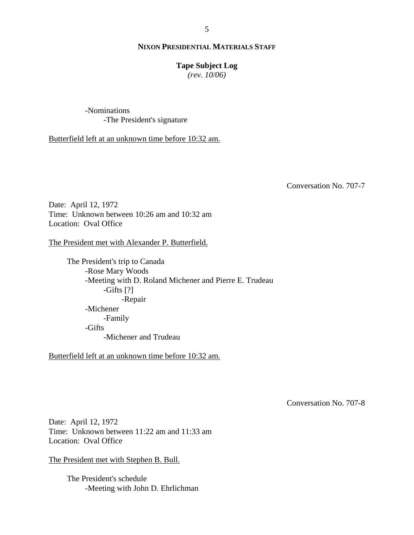### **Tape Subject Log**

*(rev. 10/06)*

-Nominations -The President's signature

Butterfield left at an unknown time before 10:32 am.

Conversation No. 707-7

Date: April 12, 1972 Time: Unknown between 10:26 am and 10:32 am Location: Oval Office

The President met with Alexander P. Butterfield.

The President's trip to Canada -Rose Mary Woods -Meeting with D. Roland Michener and Pierre E. Trudeau -Gifts [?] -Repair -Michener -Family -Gifts -Michener and Trudeau

Butterfield left at an unknown time before 10:32 am.

Conversation No. 707-8

Date: April 12, 1972 Time: Unknown between 11:22 am and 11:33 am Location: Oval Office

The President met with Stephen B. Bull.

The President's schedule -Meeting with John D. Ehrlichman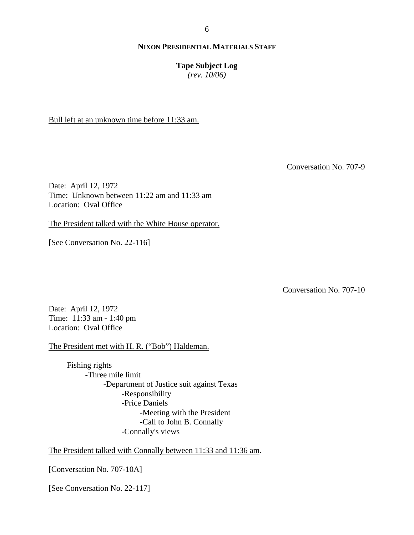**Tape Subject Log**

*(rev. 10/06)*

Bull left at an unknown time before 11:33 am.

Conversation No. 707-9

Date: April 12, 1972 Time: Unknown between 11:22 am and 11:33 am Location: Oval Office

The President talked with the White House operator.

[See Conversation No. 22-116]

Conversation No. 707-10

Date: April 12, 1972 Time: 11:33 am - 1:40 pm Location: Oval Office

The President met with H. R. ("Bob") Haldeman.

 Fishing rights -Three mile limit -Department of Justice suit against Texas -Responsibility -Price Daniels -Meeting with the President -Call to John B. Connally -Connally's views

The President talked with Connally between 11:33 and 11:36 am.

[Conversation No. 707-10A]

[See Conversation No. 22-117]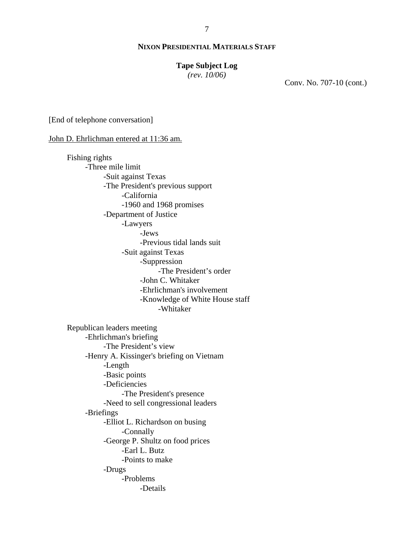### **Tape Subject Log**

*(rev. 10/06)*

Conv. No. 707-10 (cont.)

[End of telephone conversation]

#### John D. Ehrlichman entered at 11:36 am.

Fishing rights -Three mile limit -Suit against Texas -The President's previous support -California -1960 and 1968 promises -Department of Justice -Lawyers -Jews -Previous tidal lands suit -Suit against Texas -Suppression -The President's order -John C. Whitaker -Ehrlichman's involvement -Knowledge of White House staff -Whitaker

Republican leaders meeting -Ehrlichman's briefing -The President's view -Henry A. Kissinger's briefing on Vietnam -Length -Basic points -Deficiencies -The President's presence -Need to sell congressional leaders -Briefings -Elliot L. Richardson on busing -Connally -George P. Shultz on food prices -Earl L. Butz -Points to make -Drugs -Problems -Details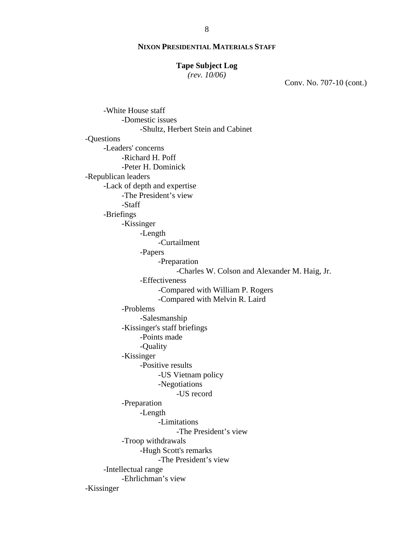#### **Tape Subject Log**

*(rev. 10/06)*

Conv. No. 707-10 (cont.)

-White House staff -Domestic issues -Shultz, Herbert Stein and Cabinet -Questions -Leaders' concerns -Richard H. Poff -Peter H. Dominick -Republican leaders -Lack of depth and expertise -The President's view -Staff -Briefings -Kissinger -Length -Curtailment -Papers -Preparation -Charles W. Colson and Alexander M. Haig, Jr. -Effectiveness -Compared with William P. Rogers -Compared with Melvin R. Laird -Problems -Salesmanship -Kissinger's staff briefings -Points made -Quality -Kissinger -Positive results -US Vietnam policy -Negotiations -US record -Preparation -Length -Limitations -The President's view -Troop withdrawals -Hugh Scott's remarks -The President's view -Intellectual range -Ehrlichman's view -Kissinger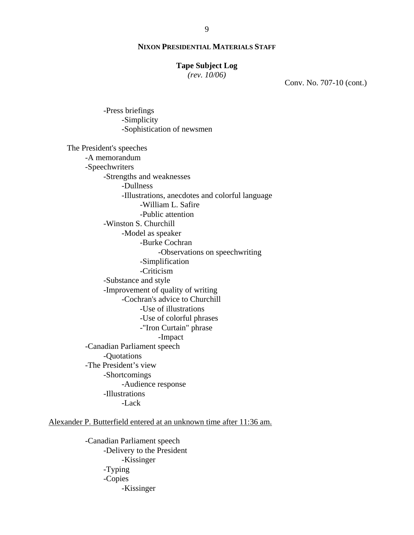#### **Tape Subject Log**

*(rev. 10/06)*

Conv. No. 707-10 (cont.)

-Sophistication of newsmen The President's speeches -A memorandum -Speechwriters -Strengths and weaknesses -Dullness -Illustrations, anecdotes and colorful language -William L. Safire -Public attention -Winston S. Churchill -Model as speaker -Burke Cochran -Observations on speechwriting -Simplification -Criticism -Substance and style -Improvement of quality of writing -Cochran's advice to Churchill -Use of illustrations -Use of colorful phrases -"Iron Curtain" phrase -Impact -Canadian Parliament speech -Quotations -The President's view -Shortcomings -Audience response -Illustrations -Lack

-Press briefings

-Simplicity

Alexander P. Butterfield entered at an unknown time after 11:36 am.

-Canadian Parliament speech -Delivery to the President -Kissinger -Typing -Copies -Kissinger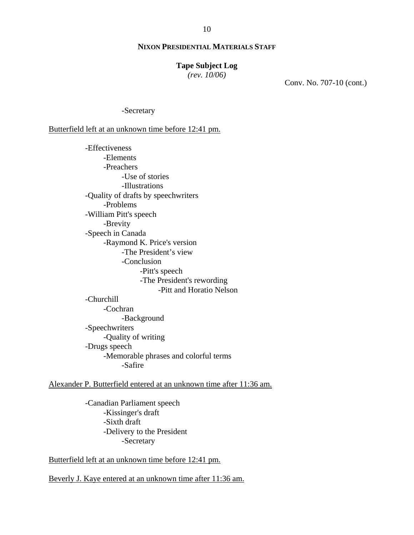#### **Tape Subject Log**

*(rev. 10/06)*

Conv. No. 707-10 (cont.)

-Secretary

Butterfield left at an unknown time before 12:41 pm.

-Effectiveness -Elements -Preachers -Use of stories -Illustrations -Quality of drafts by speechwriters -Problems -William Pitt's speech -Brevity -Speech in Canada -Raymond K. Price's version -The President's view -Conclusion -Pitt's speech -The President's rewording -Pitt and Horatio Nelson -Churchill -Cochran -Background

-Speechwriters -Quality of writing -Drugs speech -Memorable phrases and colorful terms -Safire

# Alexander P. Butterfield entered at an unknown time after 11:36 am.

-Canadian Parliament speech -Kissinger's draft -Sixth draft -Delivery to the President -Secretary

Butterfield left at an unknown time before 12:41 pm.

Beverly J. Kaye entered at an unknown time after 11:36 am.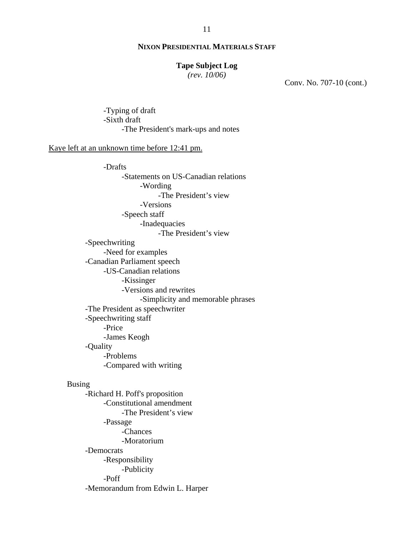### **Tape Subject Log**

*(rev. 10/06)*

Conv. No. 707-10 (cont.)

-Typing of draft -Sixth draft -The President's mark-ups and notes

Kaye left at an unknown time before 12:41 pm.

-Drafts -Statements on US-Canadian relations -Wording -The President's view -Versions -Speech staff -Inadequacies -The President's view -Speechwriting -Need for examples -Canadian Parliament speech -US-Canadian relations -Kissinger -Versions and rewrites -Simplicity and memorable phrases -The President as speechwriter -Speechwriting staff -Price -James Keogh -Quality -Problems -Compared with writing Busing -Richard H. Poff's proposition -Constitutional amendment -The President's view -Passage -Chances -Moratorium -Democrats -Responsibility -Publicity -Poff -Memorandum from Edwin L. Harper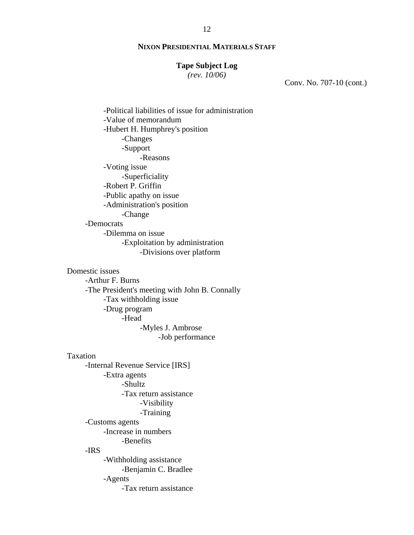#### **Tape Subject Log**

*(rev. 10/06)*

Conv. No. 707-10 (cont.)

-Political liabilities of issue for administration -Value of memorandum -Hubert H. Humphrey's position -Changes -Support -Reasons -Voting issue -Superficiality -Robert P. Griffin -Public apathy on issue -Administration's position -Change -Democrats -Dilemma on issue -Exploitation by administration -Divisions over platform Domestic issues -Arthur F. Burns -The President's meeting with John B. Connally

-Tax withholding issue -Drug program -Head -Myles J. Ambrose -Job performance

Taxation -Internal Revenue Service [IRS] -Extra agents -Shultz -Tax return assistance -Visibility -Training -Customs agents -Increase in numbers -Benefits -IRS -Withholding assistance -Benjamin C. Bradlee -Agents

-Tax return assistance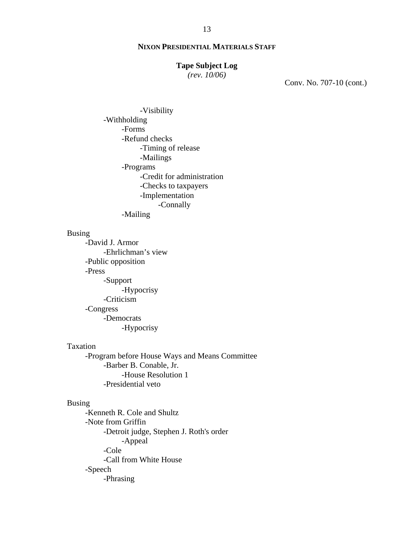#### **Tape Subject Log**

*(rev. 10/06)*

Conv. No. 707-10 (cont.)

-Visibility -Withholding -Forms -Refund checks -Timing of release -Mailings -Programs -Credit for administration -Checks to taxpayers -Implementation -Connally -Mailing

#### Busing

-David J. Armor -Ehrlichman's view -Public opposition -Press -Support -Hypocrisy -Criticism -Congress -Democrats -Hypocrisy

# Taxation

-Program before House Ways and Means Committee -Barber B. Conable, Jr. -House Resolution 1 -Presidential veto

### Busing

-Kenneth R. Cole and Shultz -Note from Griffin -Detroit judge, Stephen J. Roth's order -Appeal -Cole -Call from White House -Speech -Phrasing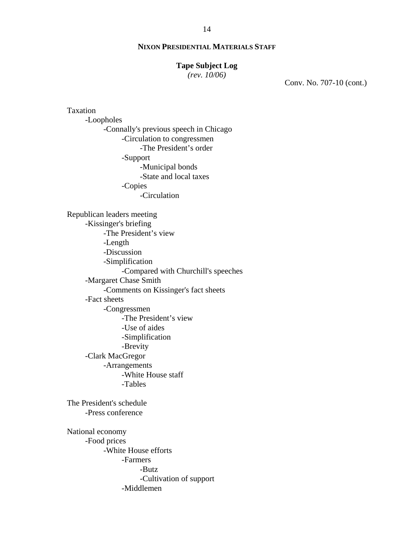#### **Tape Subject Log**

*(rev. 10/06)*

Conv. No. 707-10 (cont.)

Taxation -Loopholes -Connally's previous speech in Chicago -Circulation to congressmen -The President's order -Support -Municipal bonds -State and local taxes -Copies -Circulation Republican leaders meeting -Kissinger's briefing -The President's view -Length -Discussion -Simplification -Compared with Churchill's speeches -Margaret Chase Smith -Comments on Kissinger's fact sheets -Fact sheets -Congressmen -The President's view -Use of aides -Simplification -Brevity -Clark MacGregor -Arrangements -White House staff -Tables The President's schedule -Press conference National economy -Food prices -White House efforts -Farmers -Butz -Cultivation of support -Middlemen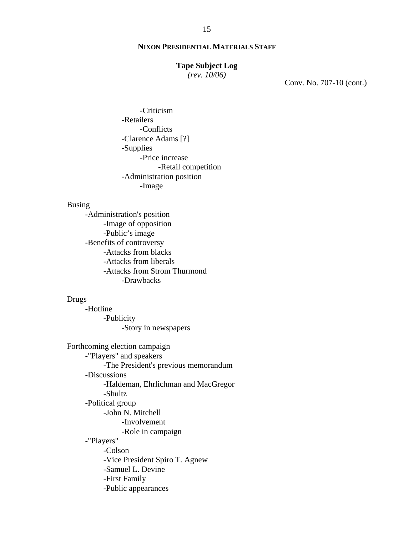#### **Tape Subject Log**

*(rev. 10/06)*

Conv. No. 707-10 (cont.)

 -Criticism -Retailers -Conflicts -Clarence Adams [?] -Supplies -Price increase -Retail competition -Administration position -Image

### Busing

-Administration's position -Image of opposition -Public's image -Benefits of controversy -Attacks from blacks -Attacks from liberals -Attacks from Strom Thurmond -Drawbacks

### Drugs

-Hotline -Publicity -Story in newspapers

 Forthcoming election campaign -"Players" and speakers -The President's previous memorandum -Discussions -Haldeman, Ehrlichman and MacGregor -Shultz -Political group -John N. Mitchell -Involvement -Role in campaign -"Players" -Colson -Vice President Spiro T. Agnew -Samuel L. Devine -First Family -Public appearances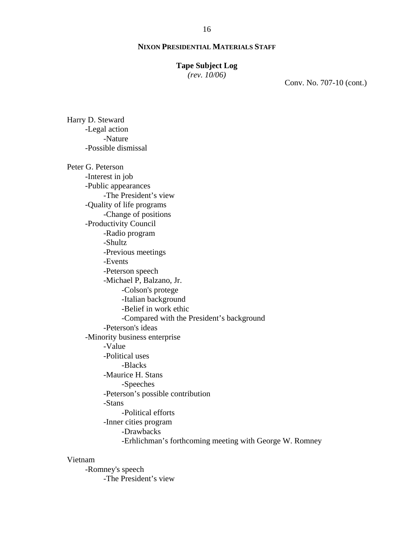### **Tape Subject Log**

*(rev. 10/06)*

Conv. No. 707-10 (cont.)

-Legal action -Nature -Possible dismissal Peter G. Peterson -Interest in job -Public appearances -The President's view -Quality of life programs -Change of positions -Productivity Council -Radio program -Shultz -Previous meetings -Events -Peterson speech -Michael P, Balzano, Jr. -Colson's protege -Italian background -Belief in work ethic -Compared with the President's background -Peterson's ideas -Minority business enterprise -Value -Political uses -Blacks -Maurice H. Stans -Speeches -Peterson's possible contribution -Stans -Political efforts -Inner cities program -Drawbacks -Erhlichman's forthcoming meeting with George W. Romney

# Vietnam

Harry D. Steward

-Romney's speech -The President's view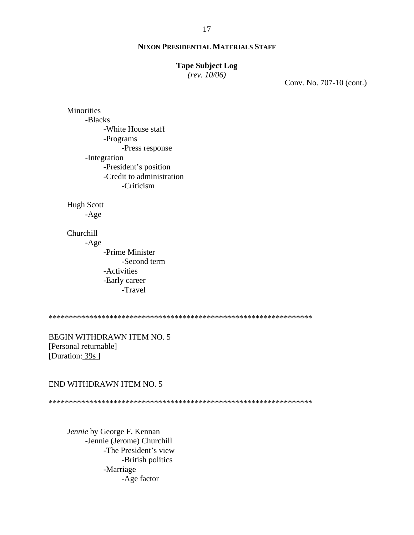### **Tape Subject Log**

*(rev. 10/06)*

Conv. No. 707-10 (cont.)

**Minorities** -Blacks -White House staff -Programs -Press response -Integration -President's position -Credit to administration -Criticism

Hugh Scott

-Age

Churchill

-Age

-Prime Minister -Second term -Activities -Early career -Travel

\*\*\*\*\*\*\*\*\*\*\*\*\*\*\*\*\*\*\*\*\*\*\*\*\*\*\*\*\*\*\*\*\*\*\*\*\*\*\*\*\*\*\*\*\*\*\*\*\*\*\*\*\*\*\*\*\*\*\*\*\*\*\*\*\*

BEGIN WITHDRAWN ITEM NO. 5 [Personal returnable] [Duration: 39s]

## END WITHDRAWN ITEM NO. 5

\*\*\*\*\*\*\*\*\*\*\*\*\*\*\*\*\*\*\*\*\*\*\*\*\*\*\*\*\*\*\*\*\*\*\*\*\*\*\*\*\*\*\*\*\*\*\*\*\*\*\*\*\*\*\*\*\*\*\*\*\*\*\*\*\*

*Jennie* by George F. Kennan -Jennie (Jerome) Churchill -The President's view -British politics -Marriage -Age factor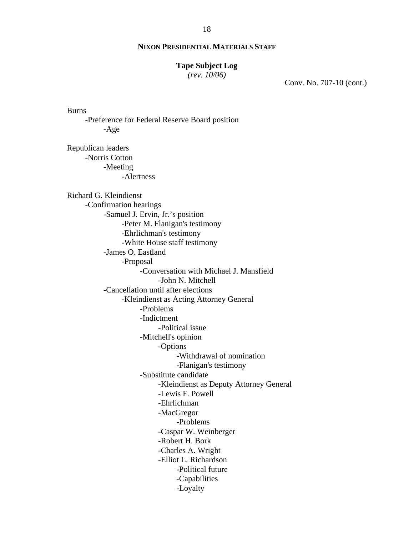#### **Tape Subject Log**

*(rev. 10/06)*

Burns

-Age

Conv. No. 707-10 (cont.)

Republican leaders -Norris Cotton -Meeting -Alertness Richard G. Kleindienst -Confirmation hearings -Samuel J. Ervin, Jr.'s position -Peter M. Flanigan's testimony -Ehrlichman's testimony -White House staff testimony -James O. Eastland -Proposal -Conversation with Michael J. Mansfield -John N. Mitchell -Cancellation until after elections -Kleindienst as Acting Attorney General -Problems -Indictment -Political issue -Mitchell's opinion -Options -Withdrawal of nomination -Flanigan's testimony -Substitute candidate -Kleindienst as Deputy Attorney General -Lewis F. Powell -Ehrlichman -MacGregor -Problems -Caspar W. Weinberger -Robert H. Bork -Charles A. Wright -Elliot L. Richardson -Political future -Capabilities -Loyalty

-Preference for Federal Reserve Board position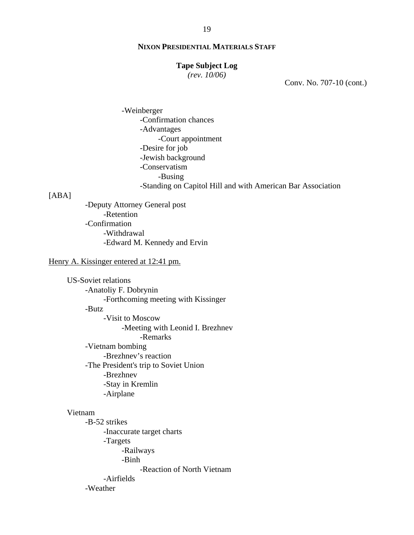### **Tape Subject Log**

*(rev. 10/06)*

Conv. No. 707-10 (cont.)

-Weinberger -Confirmation chances -Advantages -Court appointment -Desire for job -Jewish background -Conservatism -Busing -Standing on Capitol Hill and with American Bar Association

### [ABA]

-Deputy Attorney General post -Retention -Confirmation -Withdrawal -Edward M. Kennedy and Ervin

# Henry A. Kissinger entered at 12:41 pm.

US-Soviet relations -Anatoliy F. Dobrynin -Forthcoming meeting with Kissinger -Butz -Visit to Moscow -Meeting with Leonid I. Brezhnev -Remarks -Vietnam bombing -Brezhnev's reaction -The President's trip to Soviet Union -Brezhnev -Stay in Kremlin -Airplane Vietnam

-B-52 strikes -Inaccurate target charts -Targets -Railways -Binh -Reaction of North Vietnam -Airfields -Weather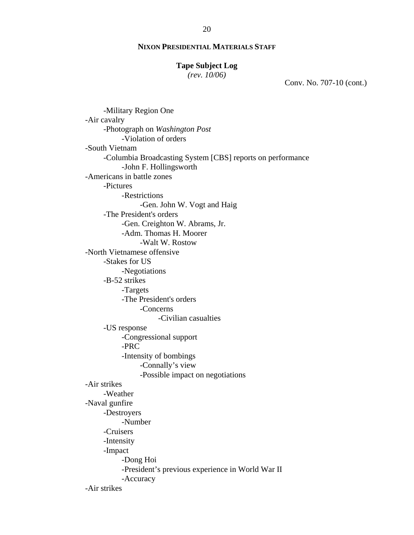#### **Tape Subject Log**

*(rev. 10/06)*

Conv. No. 707-10 (cont.)

-Military Region One -Air cavalry -Photograph on *Washington Post* -Violation of orders -South Vietnam -Columbia Broadcasting System [CBS] reports on performance -John F. Hollingsworth -Americans in battle zones -Pictures -Restrictions -Gen. John W. Vogt and Haig -The President's orders -Gen. Creighton W. Abrams, Jr. -Adm. Thomas H. Moorer -Walt W. Rostow -North Vietnamese offensive -Stakes for US -Negotiations -B-52 strikes -Targets -The President's orders -Concerns -Civilian casualties -US response -Congressional support -PRC -Intensity of bombings -Connally's view -Possible impact on negotiations -Air strikes -Weather -Naval gunfire -Destroyers -Number -Cruisers -Intensity -Impact -Dong Hoi -President's previous experience in World War II -Accuracy -Air strikes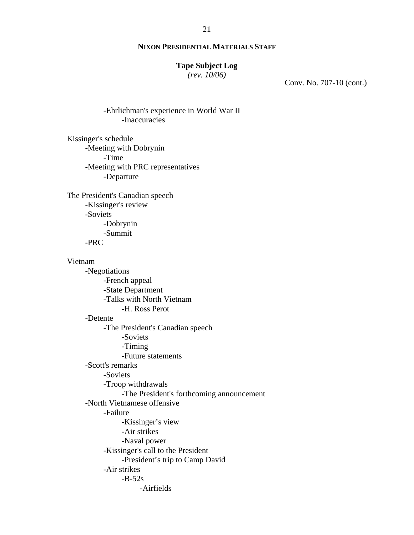#### **Tape Subject Log**

*(rev. 10/06)*

Conv. No. 707-10 (cont.)

-Ehrlichman's experience in World War II -Inaccuracies

Kissinger's schedule -Meeting with Dobrynin -Time -Meeting with PRC representatives -Departure

The President's Canadian speech -Kissinger's review -Soviets -Dobrynin -Summit -PRC

Vietnam

-Negotiations -French appeal -State Department -Talks with North Vietnam -H. Ross Perot -Detente -The President's Canadian speech -Soviets -Timing -Future statements -Scott's remarks -Soviets -Troop withdrawals -The President's forthcoming announcement -North Vietnamese offensive -Failure -Kissinger's view -Air strikes -Naval power -Kissinger's call to the President -President's trip to Camp David -Air strikes  $-B-52s$ -Airfields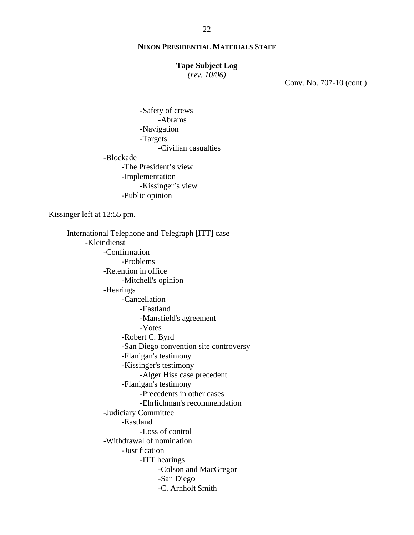### **Tape Subject Log**

*(rev. 10/06)*

Conv. No. 707-10 (cont.)

-Safety of crews -Abrams -Navigation -Targets -Civilian casualties -Blockade -The President's view -Implementation -Kissinger's view -Public opinion

Kissinger left at 12:55 pm.

 International Telephone and Telegraph [ITT] case -Kleindienst -Confirmation -Problems -Retention in office -Mitchell's opinion -Hearings -Cancellation -Eastland -Mansfield's agreement -Votes -Robert C. Byrd -San Diego convention site controversy -Flanigan's testimony -Kissinger's testimony -Alger Hiss case precedent -Flanigan's testimony -Precedents in other cases -Ehrlichman's recommendation -Judiciary Committee -Eastland -Loss of control -Withdrawal of nomination -Justification -ITT hearings -Colson and MacGregor -San Diego -C. Arnholt Smith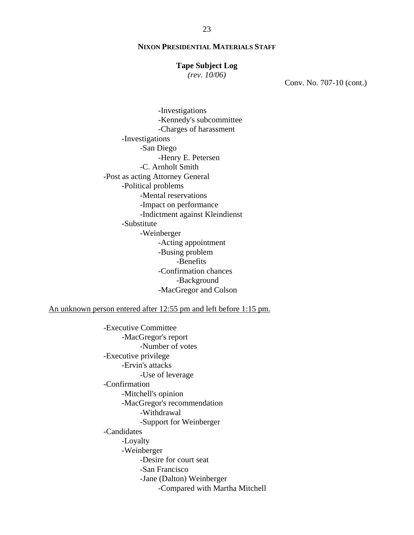#### **Tape Subject Log**

*(rev. 10/06)*

Conv. No. 707-10 (cont.)

 -Investigations -Kennedy's subcommittee -Charges of harassment -Investigations -San Diego -Henry E. Petersen -C. Arnholt Smith -Post as acting Attorney General -Political problems -Mental reservations -Impact on performance -Indictment against Kleindienst -Substitute -Weinberger -Acting appointment -Busing problem -Benefits -Confirmation chances -Background -MacGregor and Colson

An unknown person entered after 12:55 pm and left before 1:15 pm.

 -Executive Committee -MacGregor's report -Number of votes -Executive privilege -Ervin's attacks -Use of leverage -Confirmation -Mitchell's opinion -MacGregor's recommendation -Withdrawal -Support for Weinberger -Candidates -Loyalty -Weinberger -Desire for court seat -San Francisco -Jane (Dalton) Weinberger -Compared with Martha Mitchell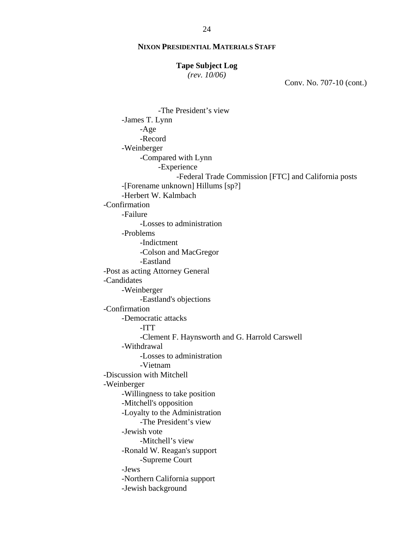#### **Tape Subject Log**

*(rev. 10/06)*

Conv. No. 707-10 (cont.)

 -The President's view -James T. Lynn -Age -Record -Weinberger -Compared with Lynn -Experience -Federal Trade Commission [FTC] and California posts -[Forename unknown] Hillums [sp?] -Herbert W. Kalmbach -Confirmation -Failure -Losses to administration -Problems -Indictment -Colson and MacGregor -Eastland -Post as acting Attorney General -Candidates -Weinberger -Eastland's objections -Confirmation -Democratic attacks -ITT -Clement F. Haynsworth and G. Harrold Carswell -Withdrawal -Losses to administration -Vietnam -Discussion with Mitchell -Weinberger -Willingness to take position -Mitchell's opposition -Loyalty to the Administration -The President's view -Jewish vote -Mitchell's view -Ronald W. Reagan's support -Supreme Court -Jews -Northern California support -Jewish background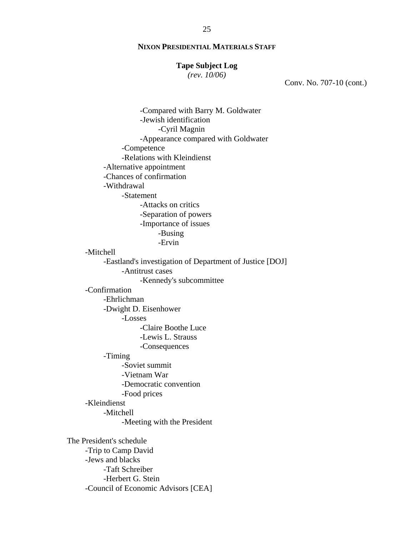#### **Tape Subject Log**

*(rev. 10/06)*

Conv. No. 707-10 (cont.)

-Compared with Barry M. Goldwater -Jewish identification -Cyril Magnin -Appearance compared with Goldwater -Competence -Relations with Kleindienst -Alternative appointment -Chances of confirmation -Withdrawal -Statement -Attacks on critics -Separation of powers -Importance of issues -Busing -Ervin -Mitchell -Eastland's investigation of Department of Justice [DOJ] -Antitrust cases -Kennedy's subcommittee -Confirmation -Ehrlichman -Dwight D. Eisenhower -Losses -Claire Boothe Luce -Lewis L. Strauss -Consequences -Timing -Soviet summit -Vietnam War -Democratic convention -Food prices -Kleindienst -Mitchell -Meeting with the President The President's schedule -Trip to Camp David -Jews and blacks -Taft Schreiber -Herbert G. Stein -Council of Economic Advisors [CEA]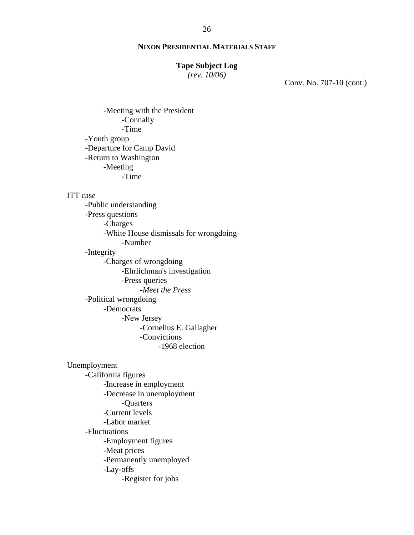## **Tape Subject Log**

*(rev. 10/06)*

Conv. No. 707-10 (cont.)

-Meeting with the President -Connally -Time -Youth group -Departure for Camp David -Return to Washington -Meeting -Time

#### ITT case

 -Public understanding -Press questions -Charges -White House dismissals for wrongdoing -Number -Integrity -Charges of wrongdoing -Ehrlichman's investigation -Press queries -*Meet the Press*

-Political wrongdoing -Democrats -New Jersey -Cornelius E. Gallagher

-Convictions

-1968 election

Unemployment -California figures -Increase in employment -Decrease in unemployment -Quarters -Current levels -Labor market -Fluctuations -Employment figures -Meat prices -Permanently unemployed -Lay-offs -Register for jobs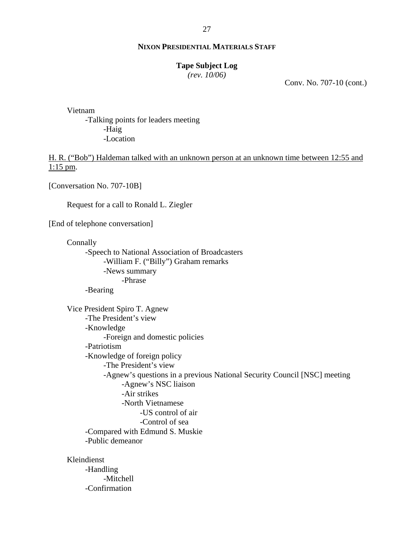#### 27

### **NIXON PRESIDENTIAL MATERIALS STAFF**

### **Tape Subject Log**

*(rev. 10/06)*

Conv. No. 707-10 (cont.)

Vietnam

-Talking points for leaders meeting -Haig -Location

H. R. ("Bob") Haldeman talked with an unknown person at an unknown time between 12:55 and 1:15 pm.

[Conversation No. 707-10B]

Request for a call to Ronald L. Ziegler

[End of telephone conversation]

Connally

-Speech to National Association of Broadcasters -William F. ("Billy") Graham remarks -News summary -Phrase -Bearing

Vice President Spiro T. Agnew -The President's view -Knowledge -Foreign and domestic policies -Patriotism -Knowledge of foreign policy -The President's view -Agnew's questions in a previous National Security Council [NSC] meeting -Agnew's NSC liaison -Air strikes -North Vietnamese -US control of air -Control of sea -Compared with Edmund S. Muskie -Public demeanor

Kleindienst

-Handling -Mitchell -Confirmation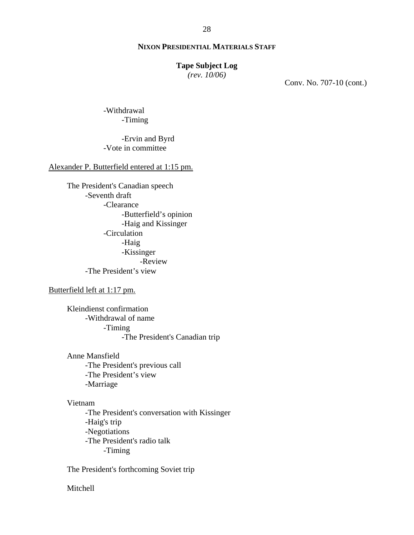### **Tape Subject Log**

*(rev. 10/06)*

Conv. No. 707-10 (cont.)

-Withdrawal -Timing

# -Ervin and Byrd -Vote in committee

# Alexander P. Butterfield entered at 1:15 pm.

The President's Canadian speech -Seventh draft -Clearance -Butterfield's opinion -Haig and Kissinger -Circulation -Haig -Kissinger -Review -The President's view

# Butterfield left at 1:17 pm.

Kleindienst confirmation -Withdrawal of name -Timing -The President's Canadian trip

Anne Mansfield -The President's previous call -The President's view -Marriage

## Vietnam

-The President's conversation with Kissinger -Haig's trip -Negotiations -The President's radio talk -Timing

The President's forthcoming Soviet trip

Mitchell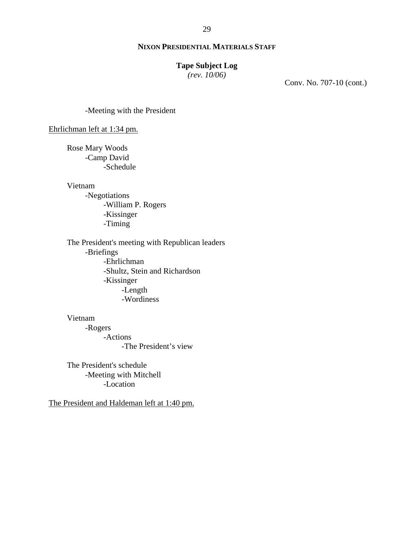# **Tape Subject Log**

*(rev. 10/06)*

Conv. No. 707-10 (cont.)

-Meeting with the President

Ehrlichman left at 1:34 pm.

Rose Mary Woods -Camp David -Schedule

Vietnam

-Negotiations -William P. Rogers -Kissinger -Timing

The President's meeting with Republican leaders -Briefings -Ehrlichman -Shultz, Stein and Richardson -Kissinger -Length -Wordiness

# Vietnam

-Rogers -Actions -The President's view

The President's schedule -Meeting with Mitchell -Location

The President and Haldeman left at 1:40 pm.